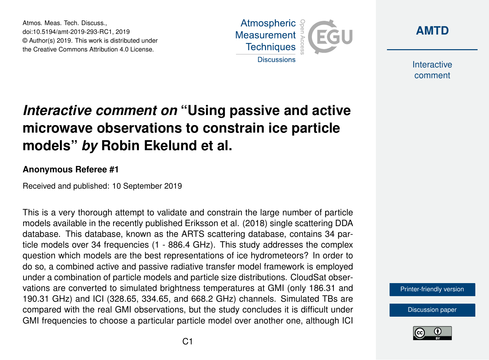Atmos. Meas. Tech. Discuss., doi:10.5194/amt-2019-293-RC1, 2019 © Author(s) 2019. This work is distributed under the Creative Commons Attribution 4.0 License.





**Interactive** comment

# *Interactive comment on* **"Using passive and active microwave observations to constrain ice particle models"** *by* **Robin Ekelund et al.**

#### **Anonymous Referee #1**

Received and published: 10 September 2019

This is a very thorough attempt to validate and constrain the large number of particle models available in the recently published Eriksson et al. (2018) single scattering DDA database. This database, known as the ARTS scattering database, contains 34 particle models over 34 frequencies (1 - 886.4 GHz). This study addresses the complex question which models are the best representations of ice hydrometeors? In order to do so, a combined active and passive radiative transfer model framework is employed under a combination of particle models and particle size distributions. CloudSat observations are converted to simulated brightness temperatures at GMI (only 186.31 and 190.31 GHz) and ICI (328.65, 334.65, and 668.2 GHz) channels. Simulated TBs are compared with the real GMI observations, but the study concludes it is difficult under GMI frequencies to choose a particular particle model over another one, although ICI

[Printer-friendly version](https://www.atmos-meas-tech-discuss.net/amt-2019-293/amt-2019-293-RC1-print.pdf)

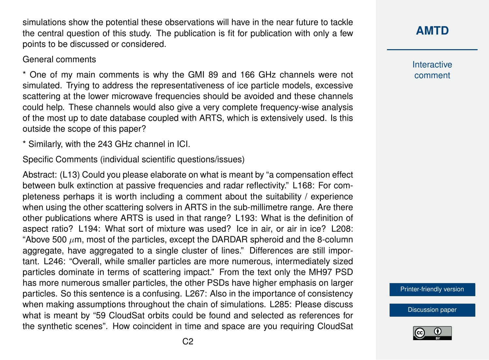simulations show the potential these observations will have in the near future to tackle the central question of this study. The publication is fit for publication with only a few points to be discussed or considered.

#### General comments

\* One of my main comments is why the GMI 89 and 166 GHz channels were not simulated. Trying to address the representativeness of ice particle models, excessive scattering at the lower microwave frequencies should be avoided and these channels could help. These channels would also give a very complete frequency-wise analysis of the most up to date database coupled with ARTS, which is extensively used. Is this outside the scope of this paper?

\* Similarly, with the 243 GHz channel in ICI.

Specific Comments (individual scientific questions/issues)

Abstract: (L13) Could you please elaborate on what is meant by "a compensation effect between bulk extinction at passive frequencies and radar reflectivity." L168: For completeness perhaps it is worth including a comment about the suitability / experience when using the other scattering solvers in ARTS in the sub-millimetre range. Are there other publications where ARTS is used in that range? L193: What is the definition of aspect ratio? L194: What sort of mixture was used? Ice in air, or air in ice? L208: "Above 500  $\mu$ m, most of the particles, except the DARDAR spheroid and the 8-column aggregate, have aggregated to a single cluster of lines." Differences are still important. L246: "Overall, while smaller particles are more numerous, intermediately sized particles dominate in terms of scattering impact." From the text only the MH97 PSD has more numerous smaller particles, the other PSDs have higher emphasis on larger particles. So this sentence is a confusing. L267: Also in the importance of consistency when making assumptions throughout the chain of simulations. L285: Please discuss what is meant by "59 CloudSat orbits could be found and selected as references for the synthetic scenes". How coincident in time and space are you requiring CloudSat **[AMTD](https://www.atmos-meas-tech-discuss.net/)**

**Interactive** comment

[Printer-friendly version](https://www.atmos-meas-tech-discuss.net/amt-2019-293/amt-2019-293-RC1-print.pdf)

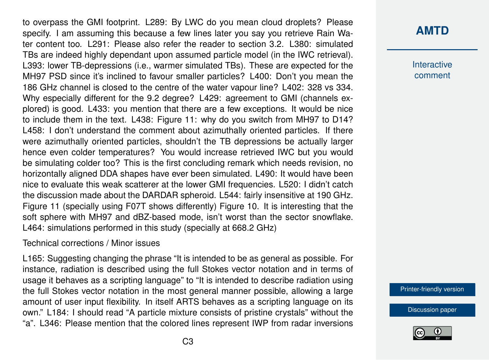to overpass the GMI footprint. L289: By LWC do you mean cloud droplets? Please specify. I am assuming this because a few lines later you say you retrieve Rain Water content too. L291: Please also refer the reader to section 3.2. L380: simulated TBs are indeed highly dependant upon assumed particle model (in the IWC retrieval). L393: lower TB-depressions (i.e., warmer simulated TBs). These are expected for the MH97 PSD since it's inclined to favour smaller particles? L400: Don't you mean the 186 GHz channel is closed to the centre of the water vapour line? L402: 328 vs 334. Why especially different for the 9.2 degree? L429: agreement to GMI (channels explored) is good. L433: you mention that there are a few exceptions. It would be nice to include them in the text. L438: Figure 11: why do you switch from MH97 to D14? L458: I don't understand the comment about azimuthally oriented particles. If there were azimuthally oriented particles, shouldn't the TB depressions be actually larger hence even colder temperatures? You would increase retrieved IWC but you would be simulating colder too? This is the first concluding remark which needs revision, no horizontally aligned DDA shapes have ever been simulated. L490: It would have been nice to evaluate this weak scatterer at the lower GMI frequencies. L520: I didn't catch the discussion made about the DARDAR spheroid. L544: fairly insensitive at 190 GHz. Figure 11 (specially using F07T shows differently) Figure 10. It is interesting that the soft sphere with MH97 and dBZ-based mode, isn't worst than the sector snowflake. L464: simulations performed in this study (specially at 668.2 GHz)

Technical corrections / Minor issues

L165: Suggesting changing the phrase "It is intended to be as general as possible. For instance, radiation is described using the full Stokes vector notation and in terms of usage it behaves as a scripting language" to "It is intended to describe radiation using the full Stokes vector notation in the most general manner possible, allowing a large amount of user input flexibility. In itself ARTS behaves as a scripting language on its own." L184: I should read "A particle mixture consists of pristine crystals" without the "a". L346: Please mention that the colored lines represent IWP from radar inversions

## **[AMTD](https://www.atmos-meas-tech-discuss.net/)**

**Interactive** comment

[Printer-friendly version](https://www.atmos-meas-tech-discuss.net/amt-2019-293/amt-2019-293-RC1-print.pdf)